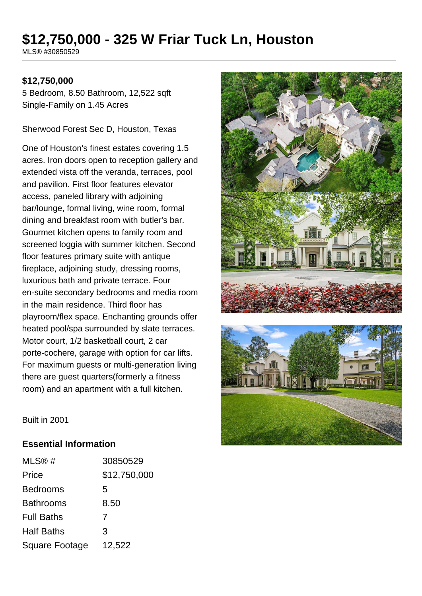# **\$12,750,000 - 325 W Friar Tuck Ln, Houston**

MLS® #30850529

### **\$12,750,000**

5 Bedroom, 8.50 Bathroom, 12,522 sqft Single-Family on 1.45 Acres

Sherwood Forest Sec D, Houston, Texas

One of Houston's finest estates covering 1.5 acres. Iron doors open to reception gallery and extended vista off the veranda, terraces, pool and pavilion. First floor features elevator access, paneled library with adjoining bar/lounge, formal living, wine room, formal dining and breakfast room with butler's bar. Gourmet kitchen opens to family room and screened loggia with summer kitchen. Second floor features primary suite with antique fireplace, adjoining study, dressing rooms, luxurious bath and private terrace. Four en-suite secondary bedrooms and media room in the main residence. Third floor has playroom/flex space. Enchanting grounds offer heated pool/spa surrounded by slate terraces. Motor court, 1/2 basketball court, 2 car porte-cochere, garage with option for car lifts. For maximum guests or multi-generation living there are guest quarters(formerly a fitness room) and an apartment with a full kitchen.





Built in 2001

### **Essential Information**

| MLS@#             | 30850529     |
|-------------------|--------------|
| Price             | \$12,750,000 |
| <b>Bedrooms</b>   | 5            |
| <b>Bathrooms</b>  | 8.50         |
| <b>Full Baths</b> | 7            |
| <b>Half Baths</b> | 3            |
| Square Footage    | 12,522       |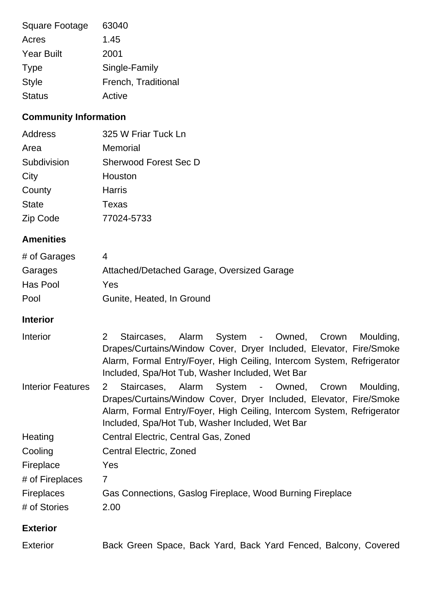| <b>Square Footage</b> | 63040               |
|-----------------------|---------------------|
| Acres                 | 1.45                |
| <b>Year Built</b>     | 2001                |
| <b>Type</b>           | Single-Family       |
| <b>Style</b>          | French, Traditional |
| <b>Status</b>         | Active              |

## **Community Information**

| Address      | 325 W Friar Tuck Ln          |
|--------------|------------------------------|
| Area         | Memorial                     |
| Subdivision  | <b>Sherwood Forest Sec D</b> |
| City         | Houston                      |
| County       | Harris                       |
| <b>State</b> | Texas                        |
| Zip Code     | 77024-5733                   |

### **Amenities**

| # of Garages |                                            |
|--------------|--------------------------------------------|
| Garages      | Attached/Detached Garage, Oversized Garage |
| Has Pool     | Yes                                        |
| Pool         | Gunite, Heated, In Ground                  |

### **Interior**

| Interior                 | Staircases, Alarm System - Owned, Crown Moulding,<br>$\overline{2}$<br>Drapes/Curtains/Window Cover, Dryer Included, Elevator, Fire/Smoke<br>Alarm, Formal Entry/Foyer, High Ceiling, Intercom System, Refrigerator<br>Included, Spa/Hot Tub, Washer Included, Wet Bar |
|--------------------------|------------------------------------------------------------------------------------------------------------------------------------------------------------------------------------------------------------------------------------------------------------------------|
| <b>Interior Features</b> | Staircases, Alarm System - Owned, Crown<br>Moulding,<br>2<br>Drapes/Curtains/Window Cover, Dryer Included, Elevator, Fire/Smoke<br>Alarm, Formal Entry/Foyer, High Ceiling, Intercom System, Refrigerator<br>Included, Spa/Hot Tub, Washer Included, Wet Bar           |
| Heating                  | Central Electric, Central Gas, Zoned                                                                                                                                                                                                                                   |
| Cooling                  | Central Electric, Zoned                                                                                                                                                                                                                                                |
| Fireplace                | Yes                                                                                                                                                                                                                                                                    |
| # of Fireplaces          | $\overline{7}$                                                                                                                                                                                                                                                         |
| <b>Fireplaces</b>        | Gas Connections, Gaslog Fireplace, Wood Burning Fireplace                                                                                                                                                                                                              |
| # of Stories             | 2.00                                                                                                                                                                                                                                                                   |
| <b>Exterior</b>          |                                                                                                                                                                                                                                                                        |

| <b>Exterior</b> | Back Green Space, Back Yard, Back Yard Fenced, Balcony, Covered |  |  |  |
|-----------------|-----------------------------------------------------------------|--|--|--|
|-----------------|-----------------------------------------------------------------|--|--|--|